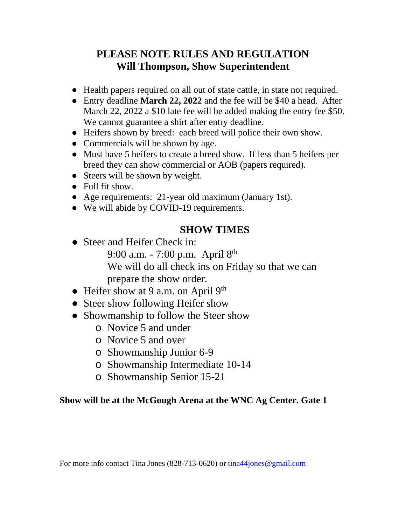# **PLEASE NOTE RULES AND REGULATION Will Thompson, Show Superintendent**

- Health papers required on all out of state cattle, in state not required.
- Entry deadline **March 22, 2022** and the fee will be \$40 a head. After March 22, 2022 a \$10 late fee will be added making the entry fee \$50. We cannot guarantee a shirt after entry deadline.
- Heifers shown by breed: each breed will police their own show.
- Commercials will be shown by age.
- Must have 5 heifers to create a breed show. If less than 5 heifers per breed they can show commercial or AOB (papers required).
- Steers will be shown by weight.
- Full fit show.
- Age requirements: 21-year old maximum (January 1st).
- We will abide by COVID-19 requirements.

# **SHOW TIMES**

- Steer and Heifer Check in: 9:00 a.m. - 7:00 p.m. April 8<sup>th</sup> We will do all check ins on Friday so that we can prepare the show order.
- Heifer show at 9 a.m. on April 9<sup>th</sup>
- Steer show following Heifer show
- Showmanship to follow the Steer show
	- o Novice 5 and under
	- o Novice 5 and over
	- o Showmanship Junior 6-9
	- o Showmanship Intermediate 10-14
	- o Showmanship Senior 15-21

#### **Show will be at the McGough Arena at the WNC Ag Center. Gate 1**

For more info contact Tina Jones (828-713-0620) or [tina44jones@gmail.com](mailto:tina44jones@gmail.com)